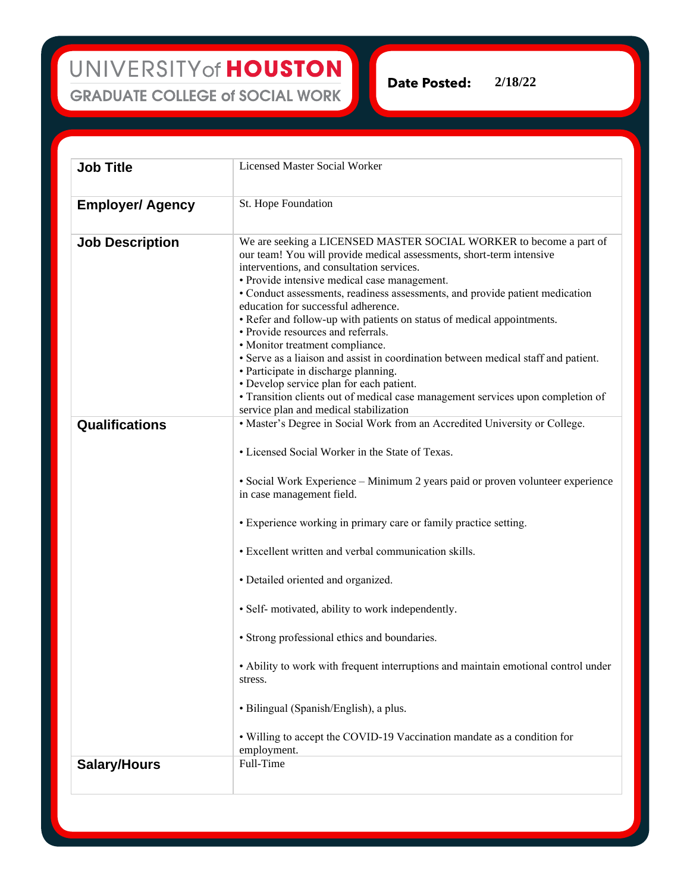UNIVERSITY of HOUSTON **GRADUATE COLLEGE of SOCIAL WORK** 

**2/18/22Date Posted:** 

| <b>Job Title</b>        | <b>Licensed Master Social Worker</b>                                                                                                                                                                                                                                                                                                                                                                                                                                                                                                                                                                                                                                                                                                                                           |
|-------------------------|--------------------------------------------------------------------------------------------------------------------------------------------------------------------------------------------------------------------------------------------------------------------------------------------------------------------------------------------------------------------------------------------------------------------------------------------------------------------------------------------------------------------------------------------------------------------------------------------------------------------------------------------------------------------------------------------------------------------------------------------------------------------------------|
| <b>Employer/ Agency</b> | St. Hope Foundation                                                                                                                                                                                                                                                                                                                                                                                                                                                                                                                                                                                                                                                                                                                                                            |
| <b>Job Description</b>  | We are seeking a LICENSED MASTER SOCIAL WORKER to become a part of<br>our team! You will provide medical assessments, short-term intensive<br>interventions, and consultation services.<br>• Provide intensive medical case management.<br>• Conduct assessments, readiness assessments, and provide patient medication<br>education for successful adherence.<br>• Refer and follow-up with patients on status of medical appointments.<br>• Provide resources and referrals.<br>• Monitor treatment compliance.<br>• Serve as a liaison and assist in coordination between medical staff and patient.<br>• Participate in discharge planning.<br>• Develop service plan for each patient.<br>· Transition clients out of medical case management services upon completion of |
| Qualifications          | service plan and medical stabilization<br>• Master's Degree in Social Work from an Accredited University or College.<br>• Licensed Social Worker in the State of Texas.<br>• Social Work Experience - Minimum 2 years paid or proven volunteer experience                                                                                                                                                                                                                                                                                                                                                                                                                                                                                                                      |
|                         | in case management field.<br>• Experience working in primary care or family practice setting.<br>• Excellent written and verbal communication skills.                                                                                                                                                                                                                                                                                                                                                                                                                                                                                                                                                                                                                          |
|                         | • Detailed oriented and organized.                                                                                                                                                                                                                                                                                                                                                                                                                                                                                                                                                                                                                                                                                                                                             |
|                         | · Self- motivated, ability to work independently.<br>• Strong professional ethics and boundaries.                                                                                                                                                                                                                                                                                                                                                                                                                                                                                                                                                                                                                                                                              |
|                         | • Ability to work with frequent interruptions and maintain emotional control under<br>stress.                                                                                                                                                                                                                                                                                                                                                                                                                                                                                                                                                                                                                                                                                  |
|                         | · Bilingual (Spanish/English), a plus.                                                                                                                                                                                                                                                                                                                                                                                                                                                                                                                                                                                                                                                                                                                                         |
|                         | • Willing to accept the COVID-19 Vaccination mandate as a condition for<br>employment.                                                                                                                                                                                                                                                                                                                                                                                                                                                                                                                                                                                                                                                                                         |
| <b>Salary/Hours</b>     | Full-Time                                                                                                                                                                                                                                                                                                                                                                                                                                                                                                                                                                                                                                                                                                                                                                      |